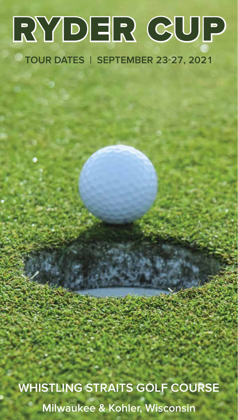# RYDER CUP

# **TOUR DATES | SEPTEMBER 23-27, 2021**

**WHISTLING STRAITS GOLF COURSE Milwaukee & Kohler, Wisconsin**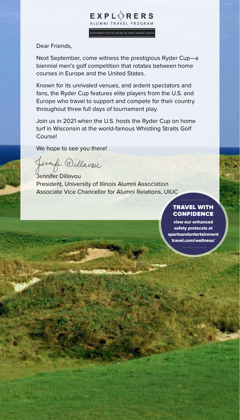ALUMNI TRAVEL PROGRAM UNIVERSITY OF ILLINOIS ALUMNI ASSOCIATION

**EXPLORERS** 

Dear Friends,

Next September, come witness the prestigious Ryder Cup—a biennial men's golf competition that rotates between home courses in Europe and the United States.

Known for its unrivaled venues, and ardent spectators and fans, the Ryder Cup features elite players from the U.S. and Europe who travel to support and compete for their country throughout three full days of tournament play.

Join us in 2021 when the U.S. hosts the Ryder Cup on home turf in Wisconsin at the world-famous Whistling Straits Golf Course!

We hope to see you there!

Jerryle Dillavou

Jennifer Dillavou President, University of Illinois Alumni Association Associate Vice Chancellor for Alumni Relations, UIUC

#### TRAVEL WITH **CONFIDENCE**

view our enhanced safety protocols at sportsandentertainment travel.com/wellness/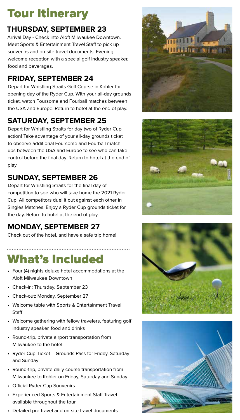# Tour Itinerary

### **THURSDAY, SEPTEMBER 23**

Arrival Day - Check into Aloft Milwaukee Downtown. Meet Sports & Entertainment Travel Staff to pick up souvenirs and on-site travel documents. Evening welcome reception with a special golf industry speaker, food and beverages.

### **FRIDAY, SEPTEMBER 24**

Depart for Whistling Straits Golf Course in Kohler for opening day of the Ryder Cup. With your all-day grounds ticket, watch Foursome and Fourball matches between the USA and Europe. Return to hotel at the end of play.

## **SATURDAY, SEPTEMBER 25**

Depart for Whistling Straits for day two of Ryder Cup action! Take advantage of your all-day grounds ticket to observe additional Foursome and Fourball matchups between the USA and Europe to see who can take control before the final day. Return to hotel at the end of play.

### **SUNDAY, SEPTEMBER 26**

Depart for Whistling Straits for the final day of competition to see who will take home the 2021 Ryder Cup! All competitors duel it out against each other in Singles Matches. Enjoy a Ryder Cup grounds ticket for the day. Return to hotel at the end of play.

### **MONDAY, SEPTEMBER 27**

Check out of the hotel, and have a safe trip home!

# What's Included

- Four (4) nights deluxe hotel accommodations at the Aloft Milwaukee Downtown
- Check-in: Thursday, September 23

- Check-out: Monday, September 27
- Welcome table with Sports & Entertainment Travel **Staff**
- Welcome gathering with fellow travelers, featuring golf industry speaker, food and drinks
- Round-trip, private airport transportation from Milwaukee to the hotel
- Ryder Cup Ticket Grounds Pass for Friday, Saturday and Sunday
- Round-trip, private daily course transportation from Milwaukee to Kohler on Friday, Saturday and Sunday
- Official Ryder Cup Souvenirs
- Experienced Sports & Entertainment Staff Travel available throughout the tour
- Detailed pre-travel and on-site travel documents







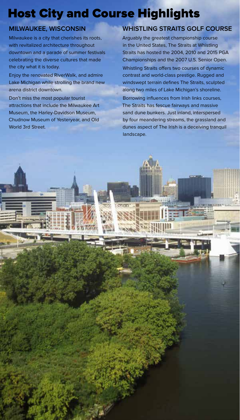# Host City and Course Highlights

**TITT** 

### **MILWAUKEE, WISCONSIN**

Milwaukee is a city that cherishes its roots, with revitalized architecture throughout downtown and a parade of summer festivals celebrating the diverse cultures that made the city what it is today.

Enjoy the renovated RiverWalk, and admire Lake Michigan while strolling the brand new arena district downtown.

Don't miss the most popular tourist attractions that include the Milwaukee Art Museum, the Harley-Davidson Museum, Chudnow Museum of Yesteryear, and Old World 3rd Street.

### **WHISTLING STRAITS GOLF COURSE**

Arguably the greatest championship course in the United States, The Straits at Whistling Straits has hosted the 2004, 2010 and 2015 PGA Championships and the 2007 U.S. Senior Open. Whistling Straits offers two courses of dynamic contrast and world-class prestige. Rugged and windswept terrain defines The Straits, sculpted along two miles of Lake Michigan's shoreline.

Borrowing influences from Irish links courses, The Straits has fescue fairways and massive sand dune bunkers. Just inland, interspersed by four meandering streams, the grassland and dunes aspect of The Irish is a deceiving tranquil landscape.

mmmut